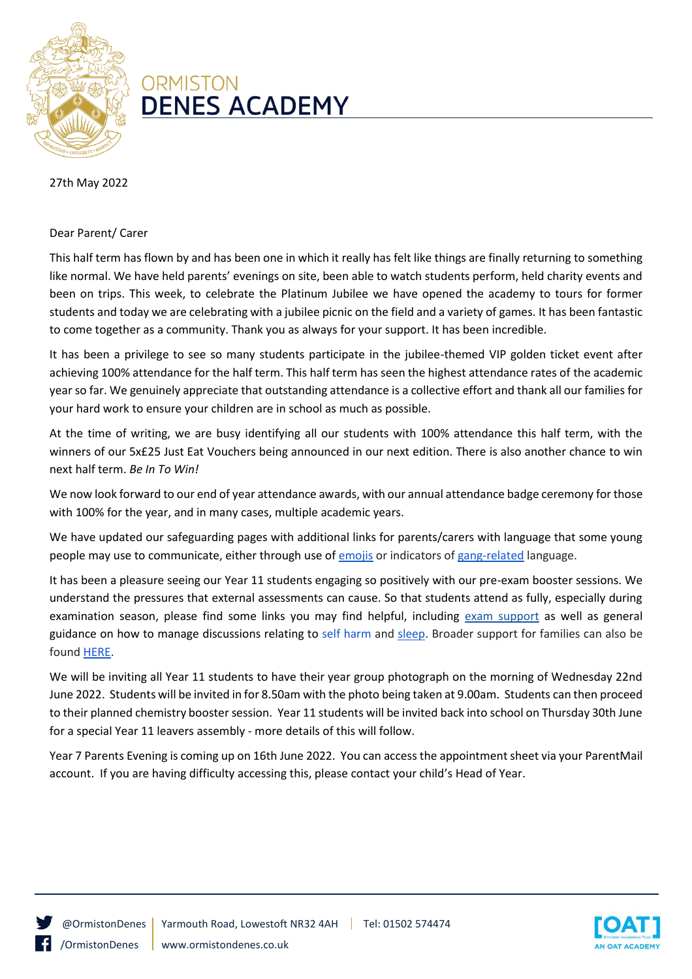

## **ORMISTON DENES ACADEMY**

## 27th May 2022

## Dear Parent/ Carer

This half term has flown by and has been one in which it really has felt like things are finally returning to something like normal. We have held parents' evenings on site, been able to watch students perform, held charity events and been on trips. This week, to celebrate the Platinum Jubilee we have opened the academy to tours for former students and today we are celebrating with a jubilee picnic on the field and a variety of games. It has been fantastic to come together as a community. Thank you as always for your support. It has been incredible.

It has been a privilege to see so many students participate in the jubilee-themed VIP golden ticket event after achieving 100% attendance for the half term. This half term has seen the highest attendance rates of the academic year so far. We genuinely appreciate that outstanding attendance is a collective effort and thank all our families for your hard work to ensure your children are in school as much as possible.

At the time of writing, we are busy identifying all our students with 100% attendance this half term, with the winners of our 5x£25 Just Eat Vouchers being announced in our next edition. There is also another chance to win next half term. *Be In To Win!*

We now look forward to our end of year attendance awards, with our annual attendance badge ceremony for those with 100% for the year, and in many cases, multiple academic years.

We have updated our safeguarding pages with additional links for parents/carers with language that some young people may use to communicate, either through use of [emojis](http://www.ormistondenes.co.uk/wp-content/uploads/2022/05/Emoji-Slang.png) or indicators o[f gang-related](http://www.ormistondenes.co.uk/wp-content/uploads/2022/05/Slang.png) language.

It has been a pleasure seeing our Year 11 students engaging so positively with our pre-exam booster sessions. We understand the pressures that external assessments can cause. So that students attend as fully, especially during examination season, please find some links you may find helpful, including [exam support](http://www.ormistondenes.co.uk/wp-content/uploads/2019/04/Student_guide-for-exam-stress.pdf) as well as general guidance on how to manage discussions relating to [self harm](http://www.ormistondenes.co.uk/wp-content/uploads/2021/01/SF2983-Self-Harm-Parents-Carers-v5-1.pdf) and [sleep.](https://www.suffolk.gov.uk/children-families-and-learning/pts/sleep/) Broader support for families can also be foun[d HERE.](https://www.suffolk.gov.uk/children-families-and-learning/pts/if/five-tips/)

We will be inviting all Year 11 students to have their year group photograph on the morning of Wednesday 22nd June 2022. Students will be invited in for 8.50am with the photo being taken at 9.00am. Students can then proceed to their planned chemistry booster session. Year 11 students will be invited back into school on Thursday 30th June for a special Year 11 leavers assembly - more details of this will follow.

Year 7 Parents Evening is coming up on 16th June 2022. You can access the appointment sheet via your ParentMail account. If you are having difficulty accessing this, please contact your child's Head of Year.